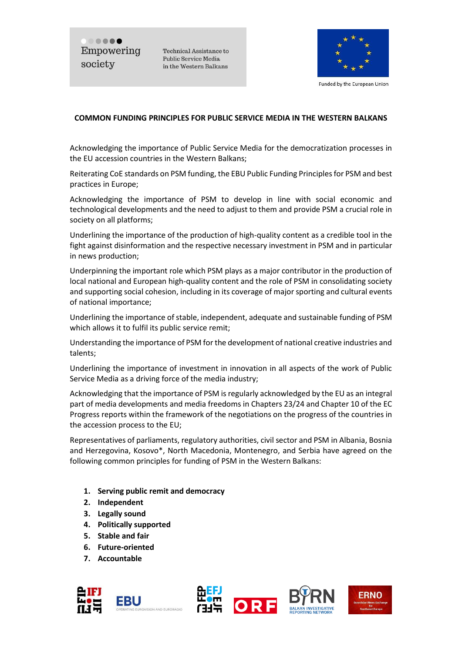..... Empowering society

Technical Assistance to Public Service Media in the Western Balkans



Funded by the European Union

## **COMMON FUNDING PRINCIPLES FOR PUBLIC SERVICE MEDIA IN THE WESTERN BALKANS**

Acknowledging the importance of Public Service Media for the democratization processes in the EU accession countries in the Western Balkans;

Reiterating CoE standards on PSM funding, the EBU Public Funding Principles for PSM and best practices in Europe;

Acknowledging the importance of PSM to develop in line with social economic and technological developments and the need to adjust to them and provide PSM a crucial role in society on all platforms;

Underlining the importance of the production of high-quality content as a credible tool in the fight against disinformation and the respective necessary investment in PSM and in particular in news production;

Underpinning the important role which PSM plays as a major contributor in the production of local national and European high-quality content and the role of PSM in consolidating society and supporting social cohesion, including in its coverage of major sporting and cultural events of national importance;

Underlining the importance of stable, independent, adequate and sustainable funding of PSM which allows it to fulfil its public service remit;

Understanding the importance of PSM for the development of national creative industries and talents;

Underlining the importance of investment in innovation in all aspects of the work of Public Service Media as a driving force of the media industry;

Acknowledging that the importance of PSM is regularly acknowledged by the EU as an integral part of media developments and media freedoms in Chapters 23/24 and Chapter 10 of the EC Progress reports within the framework of the negotiations on the progress of the countries in the accession process to the EU;

Representatives of parliaments, regulatory authorities, civil sector and PSM in Albania, Bosnia and Herzegovina, Kosovo\*, North Macedonia, Montenegro, and Serbia have agreed on the following common principles for funding of PSM in the Western Balkans:

- **1. Serving public remit and democracy**
- **2. Independent**
- **3. Legally sound**
- **4. Politically supported**
- **5. Stable and fair**
- **6. Future-oriented**
- **7. Accountable**







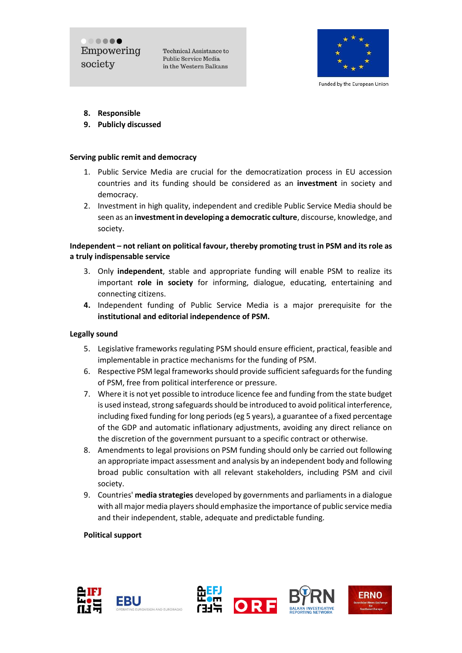..... Empowering society

Technical Assistance to Public Service Media in the Western Balkans



Funded by the European Union

- **8. Responsible**
- **9. Publicly discussed**

#### **Serving public remit and democracy**

- 1. Public Service Media are crucial for the democratization process in EU accession countries and its funding should be considered as an **investment** in society and democracy.
- 2. Investment in high quality, independent and credible Public Service Media should be seen as an **investment in developing a democratic culture**, discourse, knowledge, and society.

# **Independent – not reliant on political favour, thereby promoting trust in PSM and its role as a truly indispensable service**

- 3. Only **independent**, stable and appropriate funding will enable PSM to realize its important **role in society** for informing, dialogue, educating, entertaining and connecting citizens.
- **4.** Independent funding of Public Service Media is a major prerequisite for the **institutional and editorial independence of PSM.**

#### **Legally sound**

- 5. Legislative frameworks regulating PSM should ensure efficient, practical, feasible and implementable in practice mechanisms for the funding of PSM.
- 6. Respective PSM legal frameworks should provide sufficient safeguards for the funding of PSM, free from political interference or pressure.
- 7. Where it is not yet possible to introduce licence fee and funding from the state budget is used instead, strong safeguards should be introduced to avoid political interference, including fixed funding for long periods (eg 5 years), a guarantee of a fixed percentage of the GDP and automatic inflationary adjustments, avoiding any direct reliance on the discretion of the government pursuant to a specific contract or otherwise.
- 8. Amendments to legal provisions on PSM funding should only be carried out following an appropriate impact assessment and analysis by an independent body and following broad public consultation with all relevant stakeholders, including PSM and civil society.
- 9. Countries' **media strategies** developed by governments and parliaments in a dialogue with all major media players should emphasize the importance of public service media and their independent, stable, adequate and predictable funding.

#### **Political support**







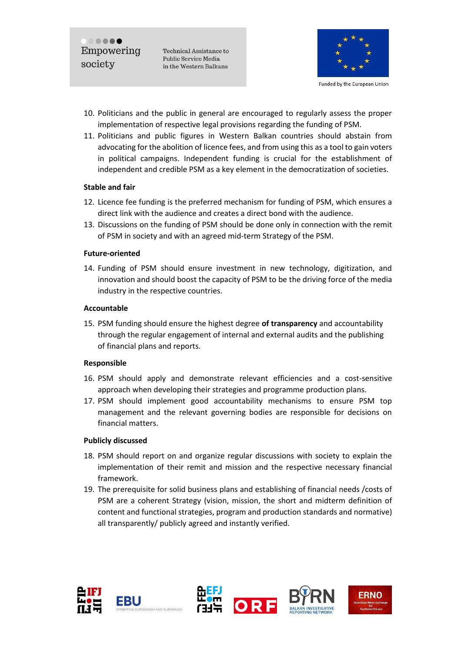..... Empowering society

Technical Assistance to Public Service Media in the Western Balkans



Funded by the European Union

- 10. Politicians and the public in general are encouraged to regularly assess the proper implementation of respective legal provisions regarding the funding of PSM.
- 11. Politicians and public figures in Western Balkan countries should abstain from advocating for the abolition of licence fees, and from using this as a tool to gain voters in political campaigns. Independent funding is crucial for the establishment of independent and credible PSM as a key element in the democratization of societies.

### **Stable and fair**

- 12. Licence fee funding is the preferred mechanism for funding of PSM, which ensures a direct link with the audience and creates a direct bond with the audience.
- 13. Discussions on the funding of PSM should be done only in connection with the remit of PSM in society and with an agreed mid-term Strategy of the PSM.

### **Future-oriented**

14. Funding of PSM should ensure investment in new technology, digitization, and innovation and should boost the capacity of PSM to be the driving force of the media industry in the respective countries.

### **Accountable**

15. PSM funding should ensure the highest degree **of transparency** and accountability through the regular engagement of internal and external audits and the publishing of financial plans and reports.

# **Responsible**

- 16. PSM should apply and demonstrate relevant efficiencies and a cost-sensitive approach when developing their strategies and programme production plans.
- 17. PSM should implement good accountability mechanisms to ensure PSM top management and the relevant governing bodies are responsible for decisions on financial matters.

# **Publicly discussed**

- 18. PSM should report on and organize regular discussions with society to explain the implementation of their remit and mission and the respective necessary financial framework.
- 19. The prerequisite for solid business plans and establishing of financial needs /costs of PSM are a coherent Strategy (vision, mission, the short and midterm definition of content and functional strategies, program and production standards and normative) all transparently/ publicly agreed and instantly verified.









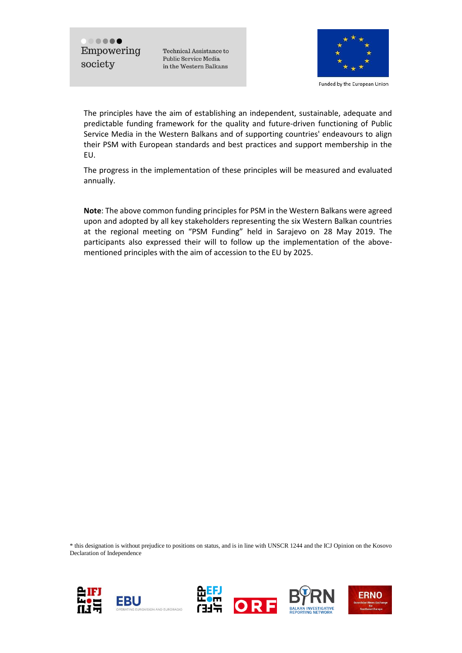$\begin{array}{c} \bullet\bullet\bullet\bullet\bullet\end{array}$ Empowering society

Technical Assistance to Public Service Media in the Western Balkans



Funded by the European Union

The principles have the aim of establishing an independent, sustainable, adequate and predictable funding framework for the quality and future-driven functioning of Public Service Media in the Western Balkans and of supporting countries' endeavours to align their PSM with European standards and best practices and support membership in the EU.

The progress in the implementation of these principles will be measured and evaluated annually.

**Note**: The above common funding principles for PSM in the Western Balkans were agreed upon and adopted by all key stakeholders representing the six Western Balkan countries at the regional meeting on "PSM Funding" held in Sarajevo on 28 May 2019. The participants also expressed their will to follow up the implementation of the abovementioned principles with the aim of accession to the EU by 2025.

\* this designation is without prejudice to positions on status, and is in line with UNSCR 1244 and the ICJ Opinion on the Kosovo Declaration of Independence